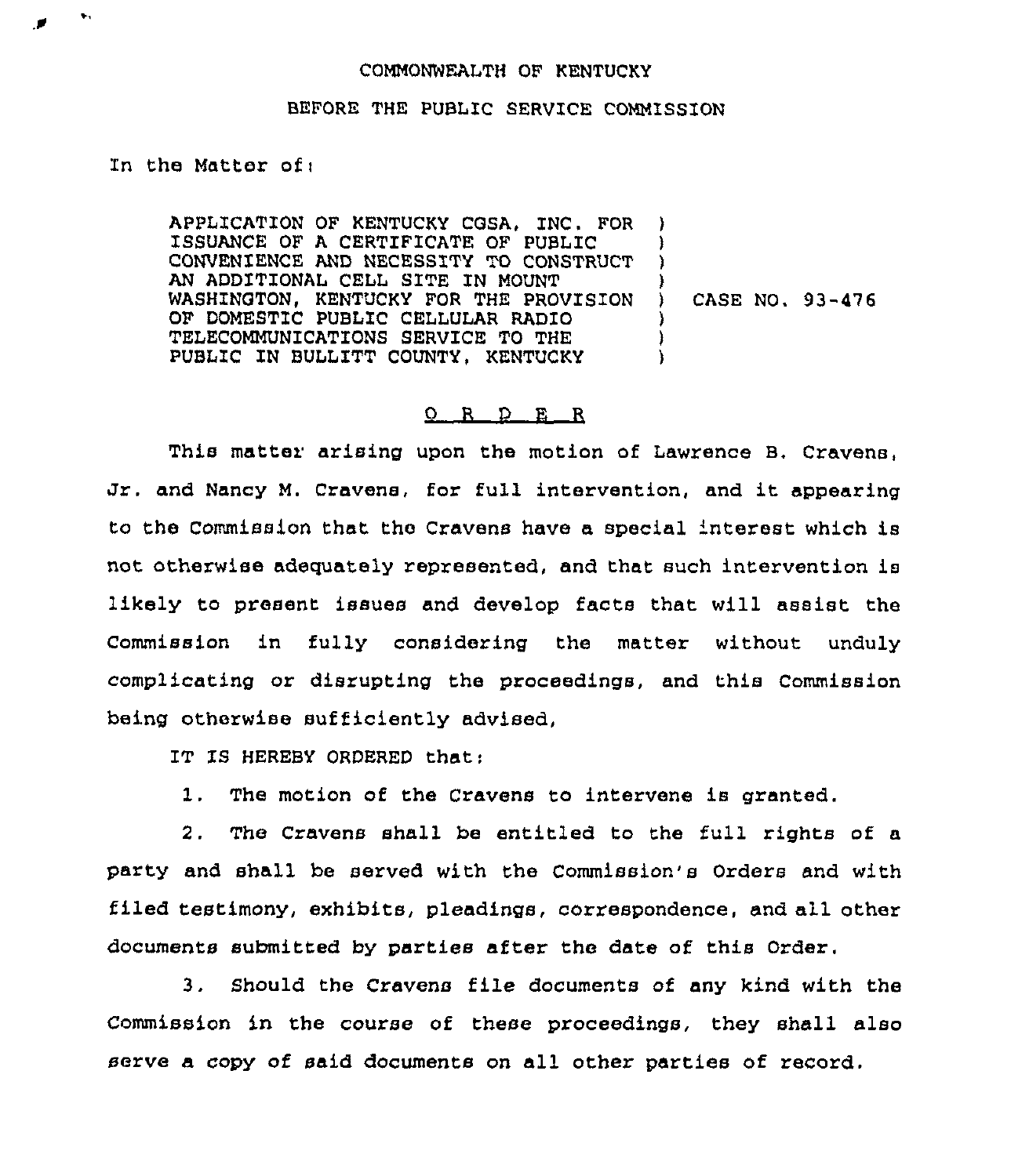## COMMONWEALTH OF KENTUCKY

## BEFORE THE PUBLIC SERVICE COMMISSION

In the Matter of:

 $\bullet$ 

APPLICATION OF KENTUCKY CGSA, INC. FOR ISSUANCE OF A CERTIFICATE OF PUBLIC CONVENIENCE AND NECESSITY TO CONSTRUCT AN ADDITIONAL CELL SITE IN MOUNT WASHINGTON, KENTUCKY FOR THE PROVISION OF DOMESTIC PUBLIC CELLULAR RADIO TELECOMMUNICATIONS SERVICE TO THE PUBLIC IN BULLITT COUNTY, KENTUCKY ) )  $\lambda$ ) CASE NO. 93-476 )

## 0 R D E R

This matter arising upon the motion of Lawrence B, Cravens, Jr. and Nancy M. Cravens, for full intervention, and it appearing to the Commission that the Cravens have a special 'nterest which is not otherwise adequately represented, and that such intervention is likely to present issues and develop facts that will assist the Commission in fully considering the matter without unduly complicating or disrupting the proceedings, and this Commission being otherwise sufficiently advised,

IT IS HEREBY ORDERED that:

1. The motion of the Cravens to intervene ls granted.

2. The Cravens shall be entitled to the full rights of a party and shall be served with the Commission's Orders and with filed testimony, exhibits, pleadings, correspondence, and all other documents submitted by parties after the date of this Order.

3. Should the Cravens file documents of any kind with the Commission in the course of these proceedings, they shall also serve a copy of said documents on all other parties of record.